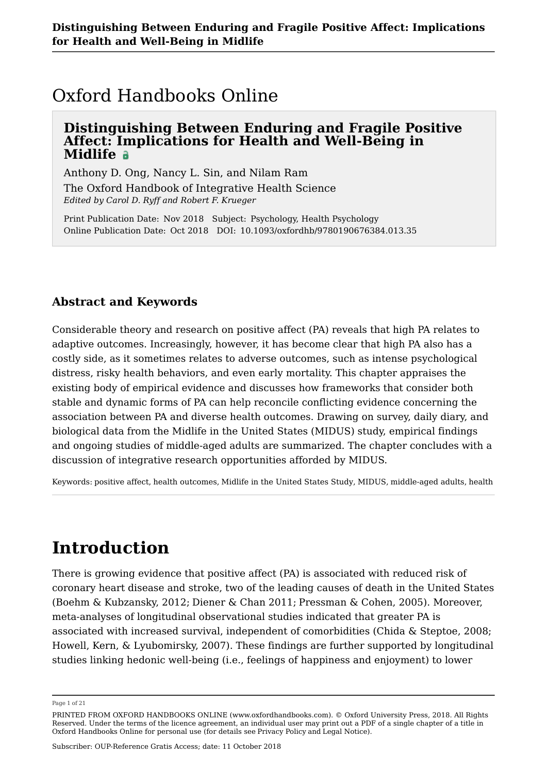## Oxford Handbooks Online

## **Distinguishing Between Enduring and Fragile Positive Affect: Implications for Health and Well-Being in Midlife**

Anthony D. Ong, Nancy L. Sin, and Nilam Ram

The Oxford Handbook of Integrative Health Science *Edited by Carol D. Ryff and Robert F. Krueger*

Print Publication Date: Nov 2018 Subject: Psychology, Health Psychology Online Publication Date: Oct 2018 DOI: 10.1093/oxfordhb/9780190676384.013.35

## **Abstract and Keywords**

Considerable theory and research on positive affect (PA) reveals that high PA relates to adaptive outcomes. Increasingly, however, it has become clear that high PA also has a costly side, as it sometimes relates to adverse outcomes, such as intense psychological distress, risky health behaviors, and even early mortality. This chapter appraises the existing body of empirical evidence and discusses how frameworks that consider both stable and dynamic forms of PA can help reconcile conflicting evidence concerning the association between PA and diverse health outcomes. Drawing on survey, daily diary, and biological data from the Midlife in the United States (MIDUS) study, empirical findings and ongoing studies of middle-aged adults are summarized. The chapter concludes with a discussion of integrative research opportunities afforded by MIDUS.

Keywords: positive affect, health outcomes, Midlife in the United States Study, MIDUS, middle-aged adults, health

# **Introduction**

There is growing evidence that positive affect (PA) is associated with reduced risk of coronary heart disease and stroke, two of the leading causes of death in the United States (Boehm & Kubzansky, 2012; Diener & Chan 2011; Pressman & Cohen, 2005). Moreover, meta-analyses of longitudinal observational studies indicated that greater PA is associated with increased survival, independent of comorbidities (Chida & Steptoe, 2008; Howell, Kern, & Lyubomirsky, 2007). These findings are further supported by longitudinal studies linking hedonic well-being (i.e., feelings of happiness and enjoyment) to lower

Page 1 of 21

PRINTED FROM OXFORD HANDBOOKS ONLINE (www.oxfordhandbooks.com). © Oxford University Press, 2018. All Rights Reserved. Under the terms of the licence agreement, an individual user may print out a PDF of a single chapter of a title in Oxford Handbooks Online for personal use (for details see Privacy Policy and Legal Notice).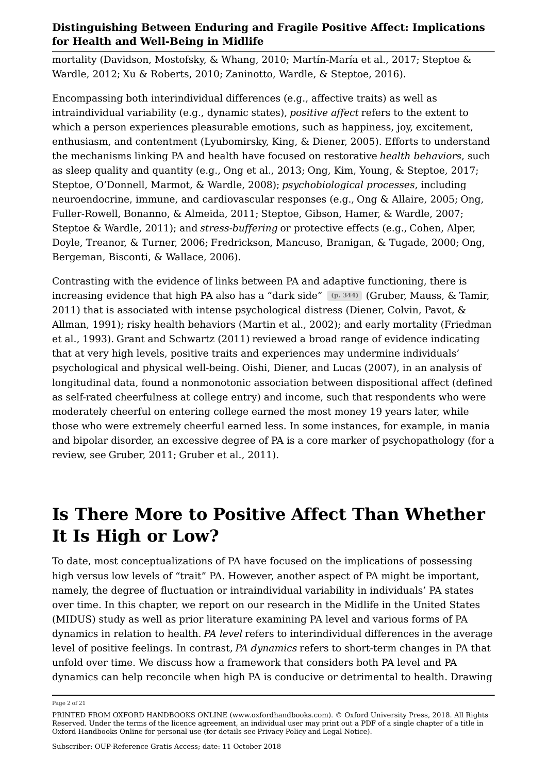mortality (Davidson, Mostofsky, & Whang, 2010; Martín-María et al., 2017; Steptoe & Wardle, 2012; Xu & Roberts, 2010; Zaninotto, Wardle, & Steptoe, 2016).

Encompassing both interindividual differences (e.g., affective traits) as well as intraindividual variability (e.g., dynamic states), *positive affect* refers to the extent to which a person experiences pleasurable emotions, such as happiness, joy, excitement, enthusiasm, and contentment (Lyubomirsky, King, & Diener, 2005). Efforts to understand the mechanisms linking PA and health have focused on restorative *health behaviors*, such as sleep quality and quantity (e.g., Ong et al., 2013; Ong, Kim, Young, & Steptoe, 2017; Steptoe, O'Donnell, Marmot, & Wardle, 2008); *psychobiological processes*, including neuroendocrine, immune, and cardiovascular responses (e.g., Ong & Allaire, 2005; Ong, Fuller-Rowell, Bonanno, & Almeida, 2011; Steptoe, Gibson, Hamer, & Wardle, 2007; Steptoe & Wardle, 2011); and *stress-buffering* or protective effects (e.g., Cohen, Alper, Doyle, Treanor, & Turner, 2006; Fredrickson, Mancuso, Branigan, & Tugade, 2000; Ong, Bergeman, Bisconti, & Wallace, 2006).

Contrasting with the evidence of links between PA and adaptive functioning, there is increasing evidence that high PA also has a "dark side" (p. 344) (Gruber, Mauss, & Tamir, 2011) that is associated with intense psychological distress (Diener, Colvin, Pavot, & Allman, 1991); risky health behaviors (Martin et al., 2002); and early mortality (Friedman et al., 1993). Grant and Schwartz (2011) reviewed a broad range of evidence indicating that at very high levels, positive traits and experiences may undermine individuals' psychological and physical well-being. Oishi, Diener, and Lucas (2007), in an analysis of longitudinal data, found a nonmonotonic association between dispositional affect (defined as self-rated cheerfulness at college entry) and income, such that respondents who were moderately cheerful on entering college earned the most money 19 years later, while those who were extremely cheerful earned less. In some instances, for example, in mania and bipolar disorder, an excessive degree of PA is a core marker of psychopathology (for a review, see Gruber, 2011; Gruber et al., 2011).

## **Is There More to Positive Affect Than Whether It Is High or Low?**

To date, most conceptualizations of PA have focused on the implications of possessing high versus low levels of "trait" PA. However, another aspect of PA might be important, namely, the degree of fluctuation or intraindividual variability in individuals' PA states over time. In this chapter, we report on our research in the Midlife in the United States (MIDUS) study as well as prior literature examining PA level and various forms of PA dynamics in relation to health. *PA level* refers to interindividual differences in the average level of positive feelings. In contrast, *PA dynamics* refers to short-term changes in PA that unfold over time. We discuss how a framework that considers both PA level and PA dynamics can help reconcile when high PA is conducive or detrimental to health. Drawing

Page 2 of 21

PRINTED FROM OXFORD HANDBOOKS ONLINE (www.oxfordhandbooks.com). © Oxford University Press, 2018. All Rights Reserved. Under the terms of the licence agreement, an individual user may print out a PDF of a single chapter of a title in Oxford Handbooks Online for personal use (for details see Privacy Policy and Legal Notice).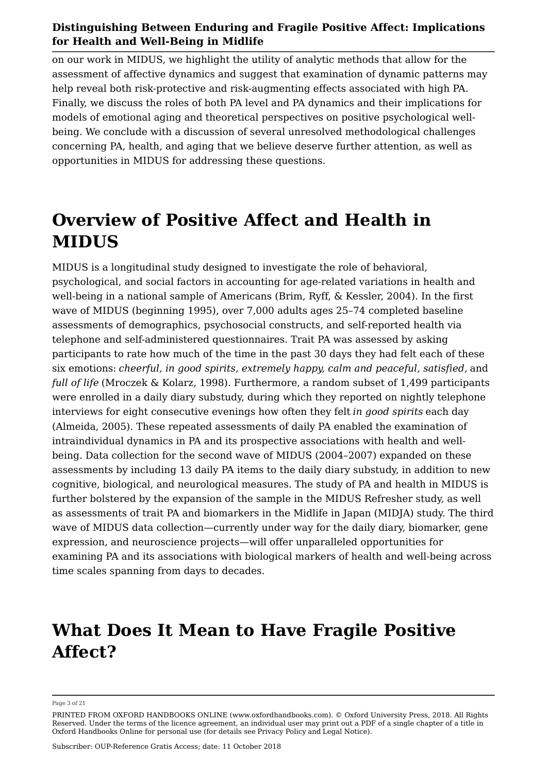on our work in MIDUS, we highlight the utility of analytic methods that allow for the assessment of affective dynamics and suggest that examination of dynamic patterns may help reveal both risk-protective and risk-augmenting effects associated with high PA. Finally, we discuss the roles of both PA level and PA dynamics and their implications for models of emotional aging and theoretical perspectives on positive psychological wellbeing. We conclude with a discussion of several unresolved methodological challenges concerning PA, health, and aging that we believe deserve further attention, as well as opportunities in MIDUS for addressing these questions.

## **Overview of Positive Affect and Health in MIDUS**

MIDUS is a longitudinal study designed to investigate the role of behavioral, psychological, and social factors in accounting for age-related variations in health and well-being in a national sample of Americans (Brim, Ryff, & Kessler, 2004). In the first wave of MIDUS (beginning 1995), over 7,000 adults ages 25–74 completed baseline assessments of demographics, psychosocial constructs, and self-reported health via telephone and self-administered questionnaires. Trait PA was assessed by asking participants to rate how much of the time in the past 30 days they had felt each of these six emotions: *cheerful, in good spirits, extremely happy, calm and peaceful, satisfied,* and *full of life* (Mroczek & Kolarz, 1998). Furthermore, a random subset of 1,499 participants were enrolled in a daily diary substudy, during which they reported on nightly telephone interviews for eight consecutive evenings how often they felt *in good spirits* each day (Almeida, 2005). These repeated assessments of daily PA enabled the examination of intraindividual dynamics in PA and its prospective associations with health and wellbeing. Data collection for the second wave of MIDUS (2004–2007) expanded on these assessments by including 13 daily PA items to the daily diary substudy, in addition to new cognitive, biological, and neurological measures. The study of PA and health in MIDUS is further bolstered by the expansion of the sample in the MIDUS Refresher study, as well as assessments of trait PA and biomarkers in the Midlife in Japan (MIDJA) study. The third wave of MIDUS data collection—currently under way for the daily diary, biomarker, gene expression, and neuroscience projects—will offer unparalleled opportunities for examining PA and its associations with biological markers of health and well-being across time scales spanning from days to decades.

## **What Does It Mean to Have Fragile Positive Affect?**

#### Page 3 of 21

PRINTED FROM OXFORD HANDBOOKS ONLINE (www.oxfordhandbooks.com). © Oxford University Press, 2018. All Rights Reserved. Under the terms of the licence agreement, an individual user may print out a PDF of a single chapter of a title in Oxford Handbooks Online for personal use (for details see Privacy Policy and Legal Notice).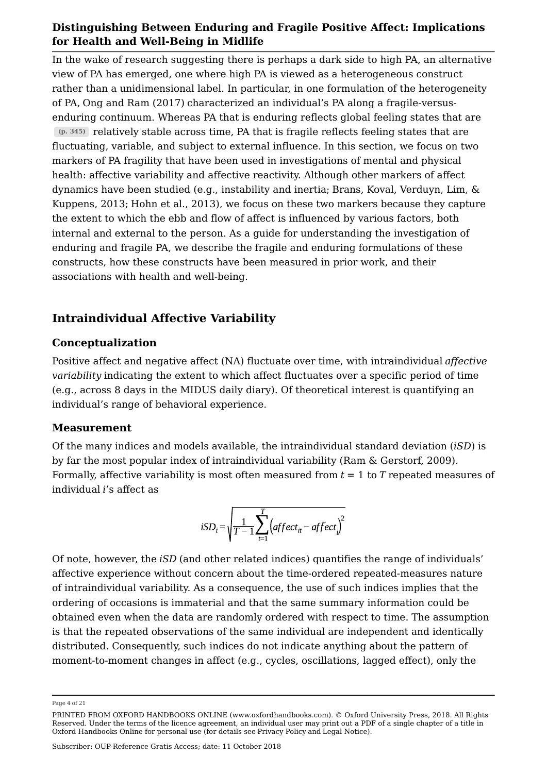In the wake of research suggesting there is perhaps a dark side to high PA, an alternative view of PA has emerged, one where high PA is viewed as a heterogeneous construct rather than a unidimensional label. In particular, in one formulation of the heterogeneity of PA, Ong and Ram (2017) characterized an individual's PA along a fragile-versusenduring continuum. Whereas PA that is enduring reflects global feeling states that are relatively stable across time, PA that is fragile reflects feeling states that are **(p. 345)** fluctuating, variable, and subject to external influence. In this section, we focus on two markers of PA fragility that have been used in investigations of mental and physical health: affective variability and affective reactivity. Although other markers of affect dynamics have been studied (e.g., instability and inertia; Brans, Koval, Verduyn, Lim, & Kuppens, 2013; Hohn et al., 2013), we focus on these two markers because they capture the extent to which the ebb and flow of affect is influenced by various factors, both internal and external to the person. As a guide for understanding the investigation of enduring and fragile PA, we describe the fragile and enduring formulations of these constructs, how these constructs have been measured in prior work, and their associations with health and well-being.

## **Intraindividual Affective Variability**

## **Conceptualization**

Positive affect and negative affect (NA) fluctuate over time, with intraindividual *affective variability* indicating the extent to which affect fluctuates over a specific period of time (e.g., across 8 days in the MIDUS daily diary). Of theoretical interest is quantifying an individual's range of behavioral experience.

## **Measurement**

Of the many indices and models available, the intraindividual standard deviation (*iSD*) is by far the most popular index of intraindividual variability (Ram & Gerstorf, 2009). Formally, affective variability is most often measured from *t* = 1 to *T* repeated measures of individual *i*'s affect as

$$
iSD_i = \sqrt{\frac{1}{T-1} \sum_{t=1}^{T} \left( \text{affect}_{it} - \text{affect}_{i} \right)^2}
$$

Of note, however, the *iSD* (and other related indices) quantifies the range of individuals' affective experience without concern about the time-ordered repeated-measures nature of intraindividual variability. As a consequence, the use of such indices implies that the ordering of occasions is immaterial and that the same summary information could be obtained even when the data are randomly ordered with respect to time. The assumption is that the repeated observations of the same individual are independent and identically distributed. Consequently, such indices do not indicate anything about the pattern of moment-to-moment changes in affect (e.g., cycles, oscillations, lagged effect), only the

Page 4 of 21

PRINTED FROM OXFORD HANDBOOKS ONLINE (www.oxfordhandbooks.com). © Oxford University Press, 2018. All Rights Reserved. Under the terms of the licence agreement, an individual user may print out a PDF of a single chapter of a title in Oxford Handbooks Online for personal use (for details see Privacy Policy and Legal Notice).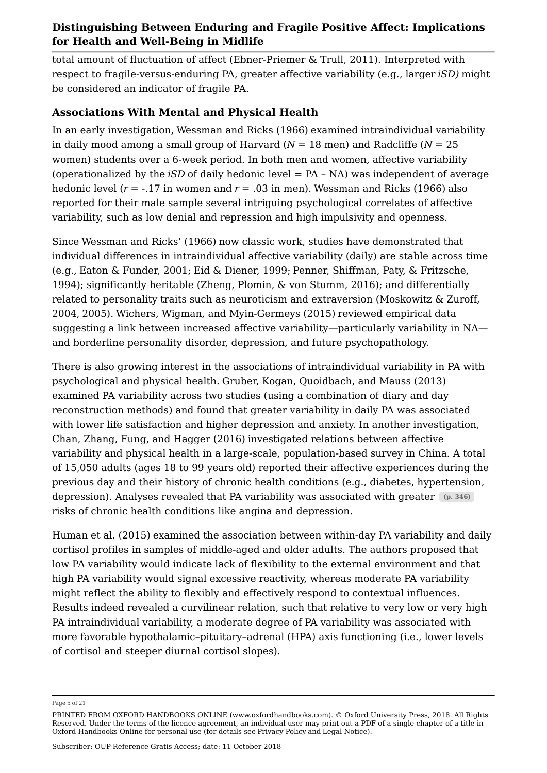total amount of fluctuation of affect (Ebner-Priemer & Trull, 2011). Interpreted with respect to fragile-versus-enduring PA, greater affective variability (e.g., larger *iSD)* might be considered an indicator of fragile PA.

## **Associations With Mental and Physical Health**

In an early investigation, Wessman and Ricks (1966) examined intraindividual variability in daily mood among a small group of Harvard (*N* = 18 men) and Radcliffe (*N* = 25 women) students over a 6-week period. In both men and women, affective variability (operationalized by the *iSD* of daily hedonic level = PA – NA) was independent of average hedonic level (*r* = -.17 in women and *r* = .03 in men). Wessman and Ricks (1966) also reported for their male sample several intriguing psychological correlates of affective variability, such as low denial and repression and high impulsivity and openness.

Since Wessman and Ricks' (1966) now classic work, studies have demonstrated that individual differences in intraindividual affective variability (daily) are stable across time (e.g., Eaton & Funder, 2001; Eid & Diener, 1999; Penner, Shiffman, Paty, & Fritzsche, 1994); significantly heritable (Zheng, Plomin, & von Stumm, 2016); and differentially related to personality traits such as neuroticism and extraversion (Moskowitz & Zuroff, 2004, 2005). Wichers, Wigman, and Myin-Germeys (2015) reviewed empirical data suggesting a link between increased affective variability—particularly variability in NA and borderline personality disorder, depression, and future psychopathology.

There is also growing interest in the associations of intraindividual variability in PA with psychological and physical health. Gruber, Kogan, Quoidbach, and Mauss (2013) examined PA variability across two studies (using a combination of diary and day reconstruction methods) and found that greater variability in daily PA was associated with lower life satisfaction and higher depression and anxiety. In another investigation, Chan, Zhang, Fung, and Hagger (2016) investigated relations between affective variability and physical health in a large-scale, population-based survey in China. A total of 15,050 adults (ages 18 to 99 years old) reported their affective experiences during the previous day and their history of chronic health conditions (e.g., diabetes, hypertension, depression). Analyses revealed that PA variability was associated with greater **(p. 346)** risks of chronic health conditions like angina and depression.

Human et al. (2015) examined the association between within-day PA variability and daily cortisol profiles in samples of middle-aged and older adults. The authors proposed that low PA variability would indicate lack of flexibility to the external environment and that high PA variability would signal excessive reactivity, whereas moderate PA variability might reflect the ability to flexibly and effectively respond to contextual influences. Results indeed revealed a curvilinear relation, such that relative to very low or very high PA intraindividual variability, a moderate degree of PA variability was associated with more favorable hypothalamic–pituitary–adrenal (HPA) axis functioning (i.e., lower levels of cortisol and steeper diurnal cortisol slopes).

Page 5 of 21

PRINTED FROM OXFORD HANDBOOKS ONLINE (www.oxfordhandbooks.com). © Oxford University Press, 2018. All Rights Reserved. Under the terms of the licence agreement, an individual user may print out a PDF of a single chapter of a title in Oxford Handbooks Online for personal use (for details see Privacy Policy and Legal Notice).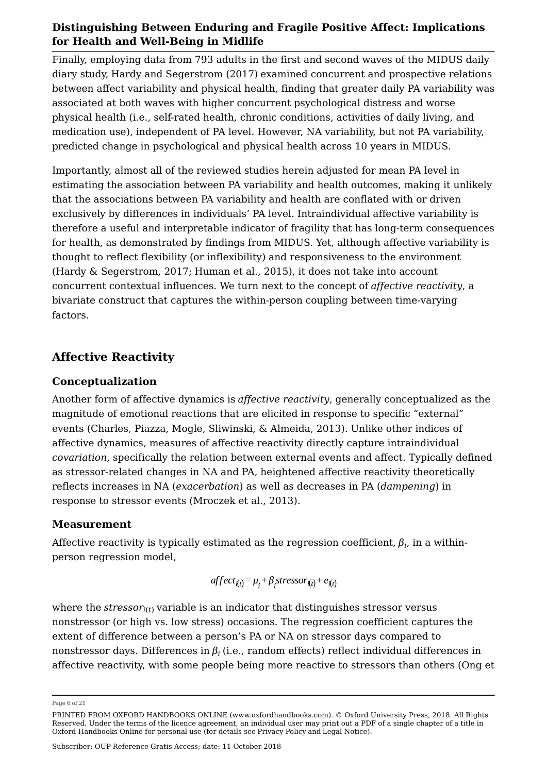Finally, employing data from 793 adults in the first and second waves of the MIDUS daily diary study, Hardy and Segerstrom (2017) examined concurrent and prospective relations between affect variability and physical health, finding that greater daily PA variability was associated at both waves with higher concurrent psychological distress and worse physical health (i.e., self-rated health, chronic conditions, activities of daily living, and medication use), independent of PA level. However, NA variability, but not PA variability, predicted change in psychological and physical health across 10 years in MIDUS.

Importantly, almost all of the reviewed studies herein adjusted for mean PA level in estimating the association between PA variability and health outcomes, making it unlikely that the associations between PA variability and health are conflated with or driven exclusively by differences in individuals' PA level. Intraindividual affective variability is therefore a useful and interpretable indicator of fragility that has long-term consequences for health, as demonstrated by findings from MIDUS. Yet, although affective variability is thought to reflect flexibility (or inflexibility) and responsiveness to the environment (Hardy & Segerstrom, 2017; Human et al., 2015), it does not take into account concurrent contextual influences. We turn next to the concept of *affective reactivity*, a bivariate construct that captures the within-person coupling between time-varying factors.

## **Affective Reactivity**

## **Conceptualization**

Another form of affective dynamics is *affective reactivity*, generally conceptualized as the magnitude of emotional reactions that are elicited in response to specific "external" events (Charles, Piazza, Mogle, Sliwinski, & Almeida, 2013). Unlike other indices of affective dynamics, measures of affective reactivity directly capture intraindividual *covariation*, specifically the relation between external events and affect. Typically defined as stressor-related changes in NA and PA, heightened affective reactivity theoretically reflects increases in NA (*exacerbation*) as well as decreases in PA (*dampening*) in response to stressor events (Mroczek et al., 2013).

## **Measurement**

Affective reactivity is typically estimated as the regression coefficient,  $\beta_i$ , in a withinperson regression model,

$$
affect_{i(t)} = \mu_i + \beta_i stressor_{i(t)} + e_{i(t)}
$$

where the  $stressor_{i(t)}$  variable is an indicator that distinguishes stressor versus nonstressor (or high vs. low stress) occasions. The regression coefficient captures the extent of difference between a person's PA or NA on stressor days compared to nonstressor days. Differences in  $\beta_i$  (i.e., random effects) reflect individual differences in affective reactivity, with some people being more reactive to stressors than others (Ong et

Page 6 of 21

PRINTED FROM OXFORD HANDBOOKS ONLINE (www.oxfordhandbooks.com). © Oxford University Press, 2018. All Rights Reserved. Under the terms of the licence agreement, an individual user may print out a PDF of a single chapter of a title in Oxford Handbooks Online for personal use (for details see Privacy Policy and Legal Notice).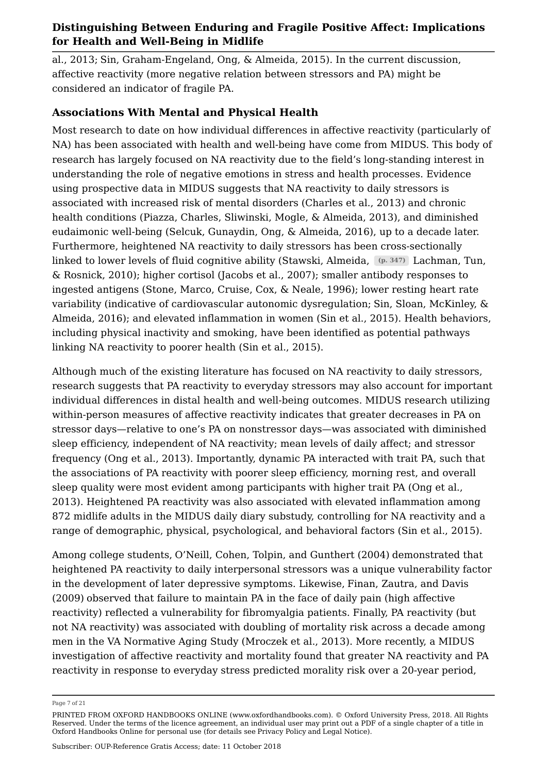al., 2013; Sin, Graham-Engeland, Ong, & Almeida, 2015). In the current discussion, affective reactivity (more negative relation between stressors and PA) might be considered an indicator of fragile PA.

## **Associations With Mental and Physical Health**

Most research to date on how individual differences in affective reactivity (particularly of NA) has been associated with health and well-being have come from MIDUS. This body of research has largely focused on NA reactivity due to the field's long-standing interest in understanding the role of negative emotions in stress and health processes. Evidence using prospective data in MIDUS suggests that NA reactivity to daily stressors is associated with increased risk of mental disorders (Charles et al., 2013) and chronic health conditions (Piazza, Charles, Sliwinski, Mogle, & Almeida, 2013), and diminished eudaimonic well-being (Selcuk, Gunaydin, Ong, & Almeida, 2016), up to a decade later. Furthermore, heightened NA reactivity to daily stressors has been cross-sectionally linked to lower levels of fluid cognitive ability (Stawski, Almeida,  (p. 347) Lachman, Tun, & Rosnick, 2010); higher cortisol (Jacobs et al., 2007); smaller antibody responses to ingested antigens (Stone, Marco, Cruise, Cox, & Neale, 1996); lower resting heart rate variability (indicative of cardiovascular autonomic dysregulation; Sin, Sloan, McKinley, & Almeida, 2016); and elevated inflammation in women (Sin et al., 2015). Health behaviors, including physical inactivity and smoking, have been identified as potential pathways linking NA reactivity to poorer health (Sin et al., 2015).

Although much of the existing literature has focused on NA reactivity to daily stressors, research suggests that PA reactivity to everyday stressors may also account for important individual differences in distal health and well-being outcomes. MIDUS research utilizing within-person measures of affective reactivity indicates that greater decreases in PA on stressor days—relative to one's PA on nonstressor days—was associated with diminished sleep efficiency, independent of NA reactivity; mean levels of daily affect; and stressor frequency (Ong et al., 2013). Importantly, dynamic PA interacted with trait PA, such that the associations of PA reactivity with poorer sleep efficiency, morning rest, and overall sleep quality were most evident among participants with higher trait PA (Ong et al., 2013). Heightened PA reactivity was also associated with elevated inflammation among 872 midlife adults in the MIDUS daily diary substudy, controlling for NA reactivity and a range of demographic, physical, psychological, and behavioral factors (Sin et al., 2015).

Among college students, O'Neill, Cohen, Tolpin, and Gunthert (2004) demonstrated that heightened PA reactivity to daily interpersonal stressors was a unique vulnerability factor in the development of later depressive symptoms. Likewise, Finan, Zautra, and Davis (2009) observed that failure to maintain PA in the face of daily pain (high affective reactivity) reflected a vulnerability for fibromyalgia patients. Finally, PA reactivity (but not NA reactivity) was associated with doubling of mortality risk across a decade among men in the VA Normative Aging Study (Mroczek et al., 2013). More recently, a MIDUS investigation of affective reactivity and mortality found that greater NA reactivity and PA reactivity in response to everyday stress predicted morality risk over a 20-year period,

Page 7 of 21

PRINTED FROM OXFORD HANDBOOKS ONLINE (www.oxfordhandbooks.com). © Oxford University Press, 2018. All Rights Reserved. Under the terms of the licence agreement, an individual user may print out a PDF of a single chapter of a title in Oxford Handbooks Online for personal use (for details see Privacy Policy and Legal Notice).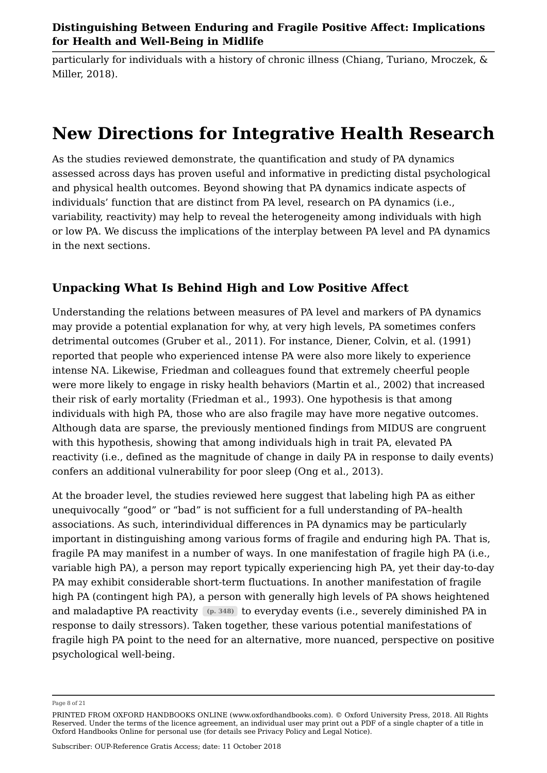particularly for individuals with a history of chronic illness (Chiang, Turiano, Mroczek, & Miller, 2018).

## **New Directions for Integrative Health Research**

As the studies reviewed demonstrate, the quantification and study of PA dynamics assessed across days has proven useful and informative in predicting distal psychological and physical health outcomes. Beyond showing that PA dynamics indicate aspects of individuals' function that are distinct from PA level, research on PA dynamics (i.e., variability, reactivity) may help to reveal the heterogeneity among individuals with high or low PA. We discuss the implications of the interplay between PA level and PA dynamics in the next sections.

## **Unpacking What Is Behind High and Low Positive Affect**

Understanding the relations between measures of PA level and markers of PA dynamics may provide a potential explanation for why, at very high levels, PA sometimes confers detrimental outcomes (Gruber et al., 2011). For instance, Diener, Colvin, et al. (1991) reported that people who experienced intense PA were also more likely to experience intense NA. Likewise, Friedman and colleagues found that extremely cheerful people were more likely to engage in risky health behaviors (Martin et al., 2002) that increased their risk of early mortality (Friedman et al., 1993). One hypothesis is that among individuals with high PA, those who are also fragile may have more negative outcomes. Although data are sparse, the previously mentioned findings from MIDUS are congruent with this hypothesis, showing that among individuals high in trait PA, elevated PA reactivity (i.e., defined as the magnitude of change in daily PA in response to daily events) confers an additional vulnerability for poor sleep (Ong et al., 2013).

At the broader level, the studies reviewed here suggest that labeling high PA as either unequivocally "good" or "bad" is not sufficient for a full understanding of PA–health associations. As such, interindividual differences in PA dynamics may be particularly important in distinguishing among various forms of fragile and enduring high PA. That is, fragile PA may manifest in a number of ways. In one manifestation of fragile high PA (i.e., variable high PA), a person may report typically experiencing high PA, yet their day-to-day PA may exhibit considerable short-term fluctuations. In another manifestation of fragile high PA (contingent high PA), a person with generally high levels of PA shows heightened and maladaptive PA reactivity (p. 348) to everyday events (i.e., severely diminished PA in response to daily stressors). Taken together, these various potential manifestations of fragile high PA point to the need for an alternative, more nuanced, perspective on positive psychological well-being.

Page 8 of 21

PRINTED FROM OXFORD HANDBOOKS ONLINE (www.oxfordhandbooks.com). © Oxford University Press, 2018. All Rights Reserved. Under the terms of the licence agreement, an individual user may print out a PDF of a single chapter of a title in Oxford Handbooks Online for personal use (for details see Privacy Policy and Legal Notice).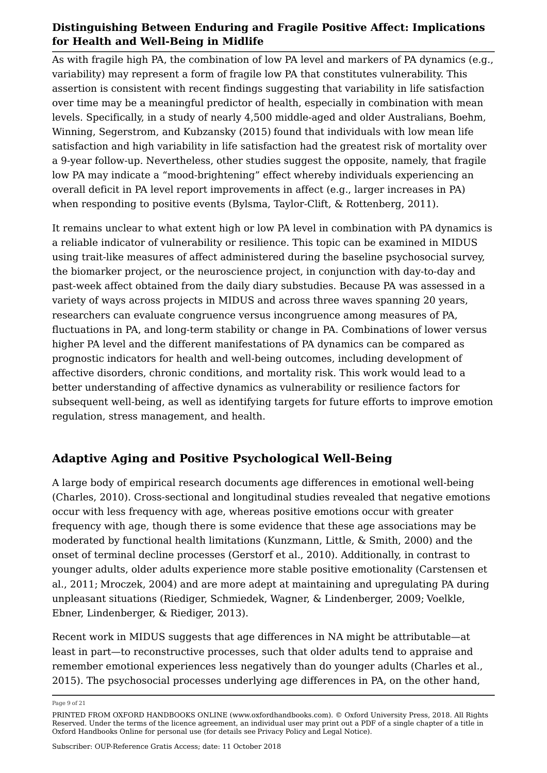As with fragile high PA, the combination of low PA level and markers of PA dynamics (e.g., variability) may represent a form of fragile low PA that constitutes vulnerability. This assertion is consistent with recent findings suggesting that variability in life satisfaction over time may be a meaningful predictor of health, especially in combination with mean levels. Specifically, in a study of nearly 4,500 middle-aged and older Australians, Boehm, Winning, Segerstrom, and Kubzansky (2015) found that individuals with low mean life satisfaction and high variability in life satisfaction had the greatest risk of mortality over a 9-year follow-up. Nevertheless, other studies suggest the opposite, namely, that fragile low PA may indicate a "mood-brightening" effect whereby individuals experiencing an overall deficit in PA level report improvements in affect (e.g., larger increases in PA) when responding to positive events (Bylsma, Taylor-Clift, & Rottenberg, 2011).

It remains unclear to what extent high or low PA level in combination with PA dynamics is a reliable indicator of vulnerability or resilience. This topic can be examined in MIDUS using trait-like measures of affect administered during the baseline psychosocial survey, the biomarker project, or the neuroscience project, in conjunction with day-to-day and past-week affect obtained from the daily diary substudies. Because PA was assessed in a variety of ways across projects in MIDUS and across three waves spanning 20 years, researchers can evaluate congruence versus incongruence among measures of PA, fluctuations in PA, and long-term stability or change in PA. Combinations of lower versus higher PA level and the different manifestations of PA dynamics can be compared as prognostic indicators for health and well-being outcomes, including development of affective disorders, chronic conditions, and mortality risk. This work would lead to a better understanding of affective dynamics as vulnerability or resilience factors for subsequent well-being, as well as identifying targets for future efforts to improve emotion regulation, stress management, and health.

## **Adaptive Aging and Positive Psychological Well-Being**

A large body of empirical research documents age differences in emotional well-being (Charles, 2010). Cross-sectional and longitudinal studies revealed that negative emotions occur with less frequency with age, whereas positive emotions occur with greater frequency with age, though there is some evidence that these age associations may be moderated by functional health limitations (Kunzmann, Little, & Smith, 2000) and the onset of terminal decline processes (Gerstorf et al., 2010). Additionally, in contrast to younger adults, older adults experience more stable positive emotionality (Carstensen et al., 2011; Mroczek, 2004) and are more adept at maintaining and upregulating PA during unpleasant situations (Riediger, Schmiedek, Wagner, & Lindenberger, 2009; Voelkle, Ebner, Lindenberger, & Riediger, 2013).

Recent work in MIDUS suggests that age differences in NA might be attributable—at least in part—to reconstructive processes, such that older adults tend to appraise and remember emotional experiences less negatively than do younger adults (Charles et al., 2015). The psychosocial processes underlying age differences in PA, on the other hand,

Page 9 of 21

PRINTED FROM OXFORD HANDBOOKS ONLINE (www.oxfordhandbooks.com). © Oxford University Press, 2018. All Rights Reserved. Under the terms of the licence agreement, an individual user may print out a PDF of a single chapter of a title in Oxford Handbooks Online for personal use (for details see Privacy Policy and Legal Notice).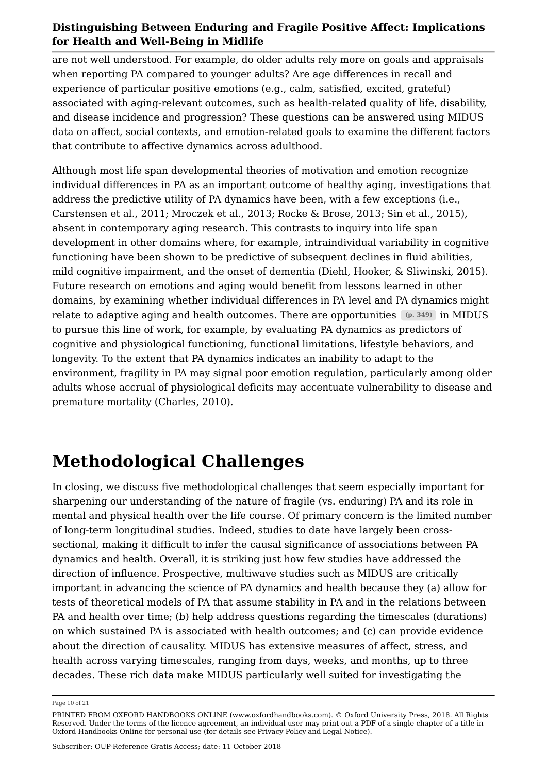are not well understood. For example, do older adults rely more on goals and appraisals when reporting PA compared to younger adults? Are age differences in recall and experience of particular positive emotions (e.g., calm, satisfied, excited, grateful) associated with aging-relevant outcomes, such as health-related quality of life, disability, and disease incidence and progression? These questions can be answered using MIDUS data on affect, social contexts, and emotion-related goals to examine the different factors that contribute to affective dynamics across adulthood.

Although most life span developmental theories of motivation and emotion recognize individual differences in PA as an important outcome of healthy aging, investigations that address the predictive utility of PA dynamics have been, with a few exceptions (i.e., Carstensen et al., 2011; Mroczek et al., 2013; Rocke & Brose, 2013; Sin et al., 2015), absent in contemporary aging research. This contrasts to inquiry into life span development in other domains where, for example, intraindividual variability in cognitive functioning have been shown to be predictive of subsequent declines in fluid abilities, mild cognitive impairment, and the onset of dementia (Diehl, Hooker, & Sliwinski, 2015). Future research on emotions and aging would benefit from lessons learned in other domains, by examining whether individual differences in PA level and PA dynamics might relate to adaptive aging and health outcomes. There are opportunities  $\,$  (p. 349)  $\,$  in MIDUS  $\,$ to pursue this line of work, for example, by evaluating PA dynamics as predictors of cognitive and physiological functioning, functional limitations, lifestyle behaviors, and longevity. To the extent that PA dynamics indicates an inability to adapt to the environment, fragility in PA may signal poor emotion regulation, particularly among older adults whose accrual of physiological deficits may accentuate vulnerability to disease and premature mortality (Charles, 2010).

## **Methodological Challenges**

In closing, we discuss five methodological challenges that seem especially important for sharpening our understanding of the nature of fragile (vs. enduring) PA and its role in mental and physical health over the life course. Of primary concern is the limited number of long-term longitudinal studies. Indeed, studies to date have largely been crosssectional, making it difficult to infer the causal significance of associations between PA dynamics and health. Overall, it is striking just how few studies have addressed the direction of influence. Prospective, multiwave studies such as MIDUS are critically important in advancing the science of PA dynamics and health because they (a) allow for tests of theoretical models of PA that assume stability in PA and in the relations between PA and health over time; (b) help address questions regarding the timescales (durations) on which sustained PA is associated with health outcomes; and (c) can provide evidence about the direction of causality. MIDUS has extensive measures of affect, stress, and health across varying timescales, ranging from days, weeks, and months, up to three decades. These rich data make MIDUS particularly well suited for investigating the

Page 10 of 21

PRINTED FROM OXFORD HANDBOOKS ONLINE (www.oxfordhandbooks.com). © Oxford University Press, 2018. All Rights Reserved. Under the terms of the licence agreement, an individual user may print out a PDF of a single chapter of a title in Oxford Handbooks Online for personal use (for details see Privacy Policy and Legal Notice).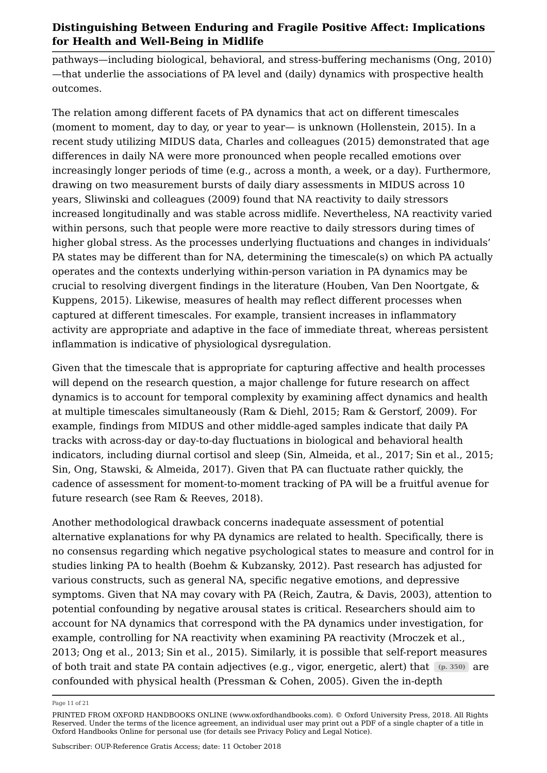pathways—including biological, behavioral, and stress-buffering mechanisms (Ong, 2010) —that underlie the associations of PA level and (daily) dynamics with prospective health outcomes.

The relation among different facets of PA dynamics that act on different timescales (moment to moment, day to day, or year to year— is unknown (Hollenstein, 2015). In a recent study utilizing MIDUS data, Charles and colleagues (2015) demonstrated that age differences in daily NA were more pronounced when people recalled emotions over increasingly longer periods of time (e.g., across a month, a week, or a day). Furthermore, drawing on two measurement bursts of daily diary assessments in MIDUS across 10 years, Sliwinski and colleagues (2009) found that NA reactivity to daily stressors increased longitudinally and was stable across midlife. Nevertheless, NA reactivity varied within persons, such that people were more reactive to daily stressors during times of higher global stress. As the processes underlying fluctuations and changes in individuals' PA states may be different than for NA, determining the timescale(s) on which PA actually operates and the contexts underlying within-person variation in PA dynamics may be crucial to resolving divergent findings in the literature (Houben, Van Den Noortgate, & Kuppens, 2015). Likewise, measures of health may reflect different processes when captured at different timescales. For example, transient increases in inflammatory activity are appropriate and adaptive in the face of immediate threat, whereas persistent inflammation is indicative of physiological dysregulation.

Given that the timescale that is appropriate for capturing affective and health processes will depend on the research question, a major challenge for future research on affect dynamics is to account for temporal complexity by examining affect dynamics and health at multiple timescales simultaneously (Ram & Diehl, 2015; Ram & Gerstorf, 2009). For example, findings from MIDUS and other middle-aged samples indicate that daily PA tracks with across-day or day-to-day fluctuations in biological and behavioral health indicators, including diurnal cortisol and sleep (Sin, Almeida, et al., 2017; Sin et al., 2015; Sin, Ong, Stawski, & Almeida, 2017). Given that PA can fluctuate rather quickly, the cadence of assessment for moment-to-moment tracking of PA will be a fruitful avenue for future research (see Ram & Reeves, 2018).

Another methodological drawback concerns inadequate assessment of potential alternative explanations for why PA dynamics are related to health. Specifically, there is no consensus regarding which negative psychological states to measure and control for in studies linking PA to health (Boehm & Kubzansky, 2012). Past research has adjusted for various constructs, such as general NA, specific negative emotions, and depressive symptoms. Given that NA may covary with PA (Reich, Zautra, & Davis, 2003), attention to potential confounding by negative arousal states is critical. Researchers should aim to account for NA dynamics that correspond with the PA dynamics under investigation, for example, controlling for NA reactivity when examining PA reactivity (Mroczek et al., 2013; Ong et al., 2013; Sin et al., 2015). Similarly, it is possible that self-report measures of both trait and state PA contain adjectives (e.g., vigor, energetic, alert) that (p. 350) are confounded with physical health (Pressman & Cohen, 2005). Given the in-depth

Page 11 of 21

PRINTED FROM OXFORD HANDBOOKS ONLINE (www.oxfordhandbooks.com). © Oxford University Press, 2018. All Rights Reserved. Under the terms of the licence agreement, an individual user may print out a PDF of a single chapter of a title in Oxford Handbooks Online for personal use (for details see Privacy Policy and Legal Notice).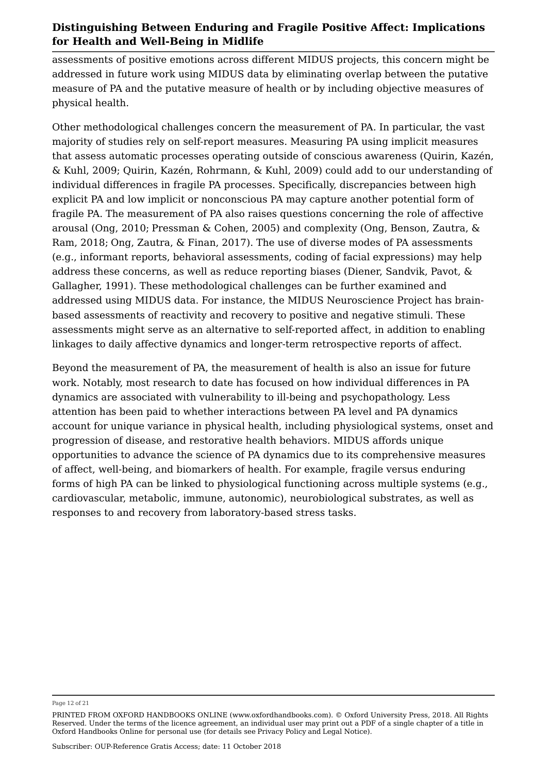assessments of positive emotions across different MIDUS projects, this concern might be addressed in future work using MIDUS data by eliminating overlap between the putative measure of PA and the putative measure of health or by including objective measures of physical health.

Other methodological challenges concern the measurement of PA. In particular, the vast majority of studies rely on self-report measures. Measuring PA using implicit measures that assess automatic processes operating outside of conscious awareness (Quirin, Kazén, & Kuhl, 2009; Quirin, Kazén, Rohrmann, & Kuhl, 2009) could add to our understanding of individual differences in fragile PA processes. Specifically, discrepancies between high explicit PA and low implicit or nonconscious PA may capture another potential form of fragile PA. The measurement of PA also raises questions concerning the role of affective arousal (Ong, 2010; Pressman & Cohen, 2005) and complexity (Ong, Benson, Zautra, & Ram, 2018; Ong, Zautra, & Finan, 2017). The use of diverse modes of PA assessments (e.g., informant reports, behavioral assessments, coding of facial expressions) may help address these concerns, as well as reduce reporting biases (Diener, Sandvik, Pavot, & Gallagher, 1991). These methodological challenges can be further examined and addressed using MIDUS data. For instance, the MIDUS Neuroscience Project has brainbased assessments of reactivity and recovery to positive and negative stimuli. These assessments might serve as an alternative to self-reported affect, in addition to enabling linkages to daily affective dynamics and longer-term retrospective reports of affect.

Beyond the measurement of PA, the measurement of health is also an issue for future work. Notably, most research to date has focused on how individual differences in PA dynamics are associated with vulnerability to ill-being and psychopathology. Less attention has been paid to whether interactions between PA level and PA dynamics account for unique variance in physical health, including physiological systems, onset and progression of disease, and restorative health behaviors. MIDUS affords unique opportunities to advance the science of PA dynamics due to its comprehensive measures of affect, well-being, and biomarkers of health. For example, fragile versus enduring forms of high PA can be linked to physiological functioning across multiple systems (e.g., cardiovascular, metabolic, immune, autonomic), neurobiological substrates, as well as responses to and recovery from laboratory-based stress tasks.

Page 12 of 21

PRINTED FROM OXFORD HANDBOOKS ONLINE (www.oxfordhandbooks.com). © Oxford University Press, 2018. All Rights Reserved. Under the terms of the licence agreement, an individual user may print out a PDF of a single chapter of a title in Oxford Handbooks Online for personal use (for details see Privacy Policy and Legal Notice).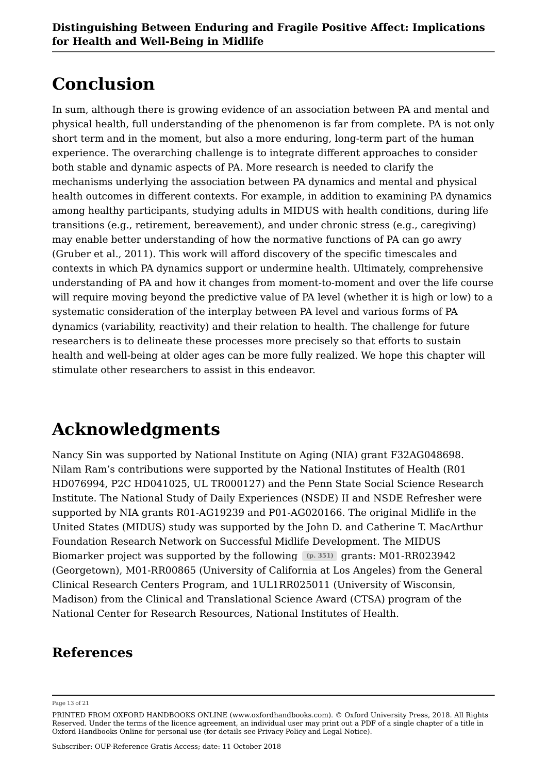## **Conclusion**

In sum, although there is growing evidence of an association between PA and mental and physical health, full understanding of the phenomenon is far from complete. PA is not only short term and in the moment, but also a more enduring, long-term part of the human experience. The overarching challenge is to integrate different approaches to consider both stable and dynamic aspects of PA. More research is needed to clarify the mechanisms underlying the association between PA dynamics and mental and physical health outcomes in different contexts. For example, in addition to examining PA dynamics among healthy participants, studying adults in MIDUS with health conditions, during life transitions (e.g., retirement, bereavement), and under chronic stress (e.g., caregiving) may enable better understanding of how the normative functions of PA can go awry (Gruber et al., 2011). This work will afford discovery of the specific timescales and contexts in which PA dynamics support or undermine health. Ultimately, comprehensive understanding of PA and how it changes from moment-to-moment and over the life course will require moving beyond the predictive value of PA level (whether it is high or low) to a systematic consideration of the interplay between PA level and various forms of PA dynamics (variability, reactivity) and their relation to health. The challenge for future researchers is to delineate these processes more precisely so that efforts to sustain health and well-being at older ages can be more fully realized. We hope this chapter will stimulate other researchers to assist in this endeavor.

# **Acknowledgments**

Nancy Sin was supported by National Institute on Aging (NIA) grant F32AG048698. Nilam Ram's contributions were supported by the National Institutes of Health (R01 HD076994, P2C HD041025, UL TR000127) and the Penn State Social Science Research Institute. The National Study of Daily Experiences (NSDE) II and NSDE Refresher were supported by NIA grants R01-AG19239 and P01-AG020166. The original Midlife in the United States (MIDUS) study was supported by the John D. and Catherine T. MacArthur Foundation Research Network on Successful Midlife Development. The MIDUS Biomarker project was supported by the following (p. 351) grants: M01-RR023942 (Georgetown), M01-RR00865 (University of California at Los Angeles) from the General Clinical Research Centers Program, and 1UL1RR025011 (University of Wisconsin, Madison) from the Clinical and Translational Science Award (CTSA) program of the National Center for Research Resources, National Institutes of Health.

## **References**

Page 13 of 21

PRINTED FROM OXFORD HANDBOOKS ONLINE (www.oxfordhandbooks.com). © Oxford University Press, 2018. All Rights Reserved. Under the terms of the licence agreement, an individual user may print out a PDF of a single chapter of a title in Oxford Handbooks Online for personal use (for details see Privacy Policy and Legal Notice).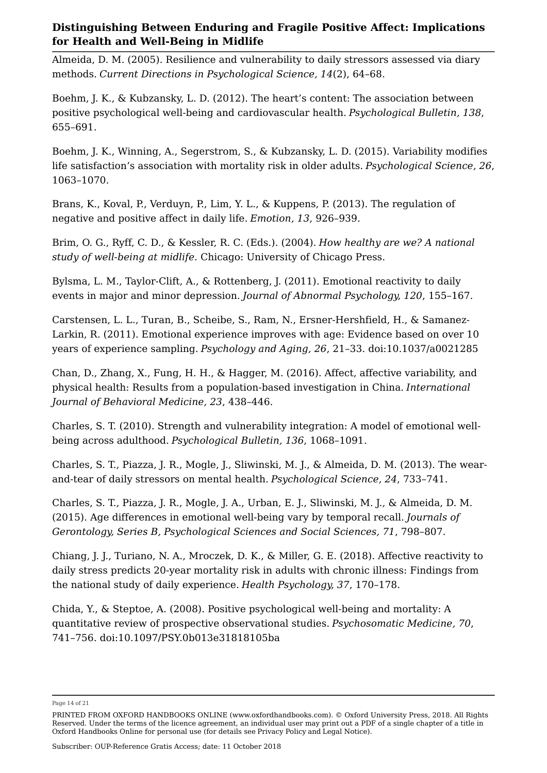Almeida, D. M. (2005). Resilience and vulnerability to daily stressors assessed via diary methods. *Current Directions in Psychological Science, 14*(2), 64–68.

Boehm, J. K., & Kubzansky, L. D. (2012). The heart's content: The association between positive psychological well-being and cardiovascular health. *Psychological Bulletin, 138*, 655–691.

Boehm, J. K., Winning, A., Segerstrom, S., & Kubzansky, L. D. (2015). Variability modifies life satisfaction's association with mortality risk in older adults. *Psychological Science, 26*, 1063–1070.

Brans, K., Koval, P., Verduyn, P., Lim, Y. L., & Kuppens, P. (2013). The regulation of negative and positive affect in daily life. *Emotion, 13*, 926–939.

Brim, O. G., Ryff, C. D., & Kessler, R. C. (Eds.). (2004). *How healthy are we? A national study of well-being at midlife*. Chicago: University of Chicago Press.

Bylsma, L. M., Taylor-Clift, A., & Rottenberg, J. (2011). Emotional reactivity to daily events in major and minor depression. *Journal of Abnormal Psychology, 120*, 155–167.

Carstensen, L. L., Turan, B., Scheibe, S., Ram, N., Ersner-Hershfield, H., & Samanez-Larkin, R. (2011). Emotional experience improves with age: Evidence based on over 10 years of experience sampling. *Psychology and Aging, 26*, 21–33. doi:10.1037/a0021285

Chan, D., Zhang, X., Fung, H. H., & Hagger, M. (2016). Affect, affective variability, and physical health: Results from a population-based investigation in China. *International Journal of Behavioral Medicine, 23*, 438–446.

Charles, S. T. (2010). Strength and vulnerability integration: A model of emotional wellbeing across adulthood. *Psychological Bulletin, 136*, 1068–1091.

Charles, S. T., Piazza, J. R., Mogle, J., Sliwinski, M. J., & Almeida, D. M. (2013). The wearand-tear of daily stressors on mental health. *Psychological Science, 24*, 733–741.

Charles, S. T., Piazza, J. R., Mogle, J. A., Urban, E. J., Sliwinski, M. J., & Almeida, D. M. (2015). Age differences in emotional well-being vary by temporal recall. *Journals of Gerontology, Series B, Psychological Sciences and Social Sciences, 71*, 798–807.

Chiang, J. J., Turiano, N. A., Mroczek, D. K., & Miller, G. E. (2018). Affective reactivity to daily stress predicts 20-year mortality risk in adults with chronic illness: Findings from the national study of daily experience. *Health Psychology, 37*, 170–178.

Chida, Y., & Steptoe, A. (2008). Positive psychological well-being and mortality: A quantitative review of prospective observational studies. *Psychosomatic Medicine, 70*, 741–756. doi:10.1097/PSY.0b013e31818105ba

Page 14 of 21

PRINTED FROM OXFORD HANDBOOKS ONLINE (www.oxfordhandbooks.com). © Oxford University Press, 2018. All Rights Reserved. Under the terms of the licence agreement, an individual user may print out a PDF of a single chapter of a title in Oxford Handbooks Online for personal use (for details see Privacy Policy and Legal Notice).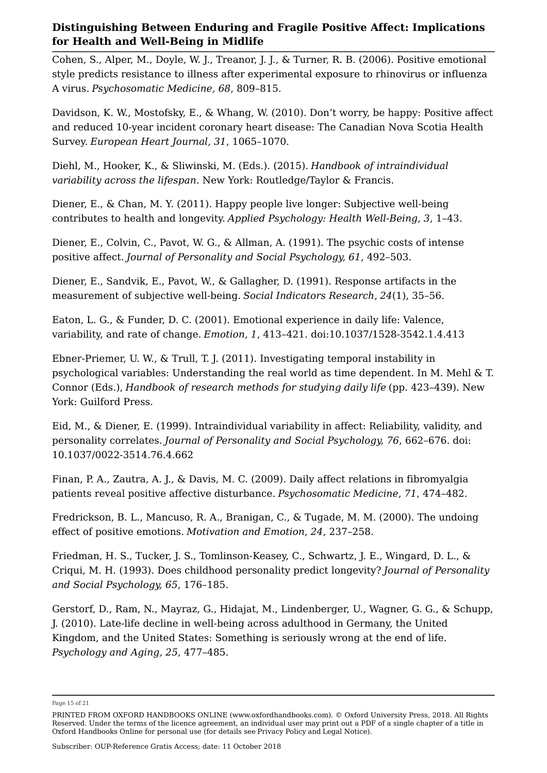Cohen, S., Alper, M., Doyle, W. J., Treanor, J. J., & Turner, R. B. (2006). Positive emotional style predicts resistance to illness after experimental exposure to rhinovirus or influenza A virus. *Psychosomatic Medicine, 68*, 809–815.

Davidson, K. W., Mostofsky, E., & Whang, W. (2010). Don't worry, be happy: Positive affect and reduced 10-year incident coronary heart disease: The Canadian Nova Scotia Health Survey. *European Heart Journal, 31*, 1065–1070.

Diehl, M., Hooker, K., & Sliwinski, M. (Eds.). (2015). *Handbook of intraindividual variability across the lifespan*. New York: Routledge/Taylor & Francis.

Diener, E., & Chan, M. Y. (2011). Happy people live longer: Subjective well-being contributes to health and longevity. *Applied Psychology: Health Well-Being, 3*, 1–43.

Diener, E., Colvin, C., Pavot, W. G., & Allman, A. (1991). The psychic costs of intense positive affect. *Journal of Personality and Social Psychology, 61*, 492–503.

Diener, E., Sandvik, E., Pavot, W., & Gallagher, D. (1991). Response artifacts in the measurement of subjective well-being. *Social Indicators Research*, *24*(1), 35–56.

Eaton, L. G., & Funder, D. C. (2001). Emotional experience in daily life: Valence, variability, and rate of change. *Emotion, 1*, 413–421. doi:10.1037/1528-3542.1.4.413

Ebner-Priemer, U. W., & Trull, T. J. (2011). Investigating temporal instability in psychological variables: Understanding the real world as time dependent. In M. Mehl & T. Connor (Eds.), *Handbook of research methods for studying daily life* (pp. 423–439). New York: Guilford Press.

Eid, M., & Diener, E. (1999). Intraindividual variability in affect: Reliability, validity, and personality correlates. *Journal of Personality and Social Psychology, 76*, 662–676. doi: 10.1037/0022-3514.76.4.662

Finan, P. A., Zautra, A. J., & Davis, M. C. (2009). Daily affect relations in fibromyalgia patients reveal positive affective disturbance. *Psychosomatic Medicine, 71*, 474–482.

Fredrickson, B. L., Mancuso, R. A., Branigan, C., & Tugade, M. M. (2000). The undoing effect of positive emotions. *Motivation and Emotion, 24*, 237–258.

Friedman, H. S., Tucker, J. S., Tomlinson-Keasey, C., Schwartz, J. E., Wingard, D. L., & Criqui, M. H. (1993). Does childhood personality predict longevity? *Journal of Personality and Social Psychology, 65*, 176–185.

Gerstorf, D., Ram, N., Mayraz, G., Hidajat, M., Lindenberger, U., Wagner, G. G., & Schupp, J. (2010). Late-life decline in well-being across adulthood in Germany, the United Kingdom, and the United States: Something is seriously wrong at the end of life. *Psychology and Aging, 25*, 477–485.

Page 15 of 21

PRINTED FROM OXFORD HANDBOOKS ONLINE (www.oxfordhandbooks.com). © Oxford University Press, 2018. All Rights Reserved. Under the terms of the licence agreement, an individual user may print out a PDF of a single chapter of a title in Oxford Handbooks Online for personal use (for details see Privacy Policy and Legal Notice).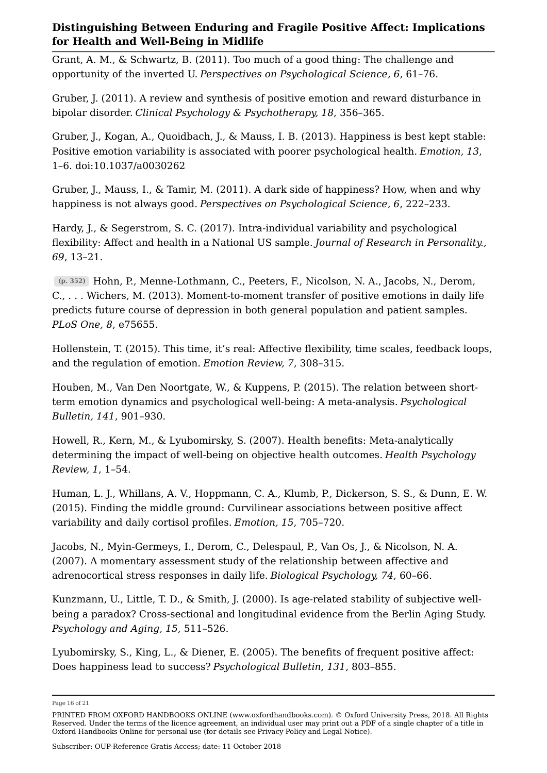Grant, A. M., & Schwartz, B. (2011). Too much of a good thing: The challenge and opportunity of the inverted U. *Perspectives on Psychological Science, 6*, 61–76.

Gruber, J. (2011). A review and synthesis of positive emotion and reward disturbance in bipolar disorder. *Clinical Psychology & Psychotherapy, 18*, 356–365.

Gruber, J., Kogan, A., Quoidbach, J., & Mauss, I. B. (2013). Happiness is best kept stable: Positive emotion variability is associated with poorer psychological health. *Emotion, 13*, 1–6. doi:10.1037/a0030262

Gruber, J., Mauss, I., & Tamir, M. (2011). A dark side of happiness? How, when and why happiness is not always good. *Perspectives on Psychological Science, 6*, 222–233.

Hardy, J., & Segerstrom, S. C. (2017). Intra-individual variability and psychological flexibility: Affect and health in a National US sample. *Journal of Research in Personality., 69*, 13–21.

Hohn, P., Menne-Lothmann, C., Peeters, F., Nicolson, N. A., Jacobs, N., Derom, **(p. 352)** C., . . . Wichers, M. (2013). Moment-to-moment transfer of positive emotions in daily life predicts future course of depression in both general population and patient samples. *PLoS One, 8*, e75655.

Hollenstein, T. (2015). This time, it's real: Affective flexibility, time scales, feedback loops, and the regulation of emotion. *Emotion Review, 7*, 308–315.

Houben, M., Van Den Noortgate, W., & Kuppens, P. (2015). The relation between shortterm emotion dynamics and psychological well-being: A meta-analysis. *Psychological Bulletin, 141*, 901–930.

Howell, R., Kern, M., & Lyubomirsky, S. (2007). Health benefits: Meta-analytically determining the impact of well-being on objective health outcomes. *Health Psychology Review, 1*, 1–54.

Human, L. J., Whillans, A. V., Hoppmann, C. A., Klumb, P., Dickerson, S. S., & Dunn, E. W. (2015). Finding the middle ground: Curvilinear associations between positive affect variability and daily cortisol profiles. *Emotion, 15*, 705–720.

Jacobs, N., Myin-Germeys, I., Derom, C., Delespaul, P., Van Os, J., & Nicolson, N. A. (2007). A momentary assessment study of the relationship between affective and adrenocortical stress responses in daily life. *Biological Psychology, 74*, 60–66.

Kunzmann, U., Little, T. D., & Smith, J. (2000). Is age-related stability of subjective wellbeing a paradox? Cross-sectional and longitudinal evidence from the Berlin Aging Study. *Psychology and Aging, 15*, 511–526.

Lyubomirsky, S., King, L., & Diener, E. (2005). The benefits of frequent positive affect: Does happiness lead to success? *Psychological Bulletin, 131*, 803–855.

Page 16 of 21

PRINTED FROM OXFORD HANDBOOKS ONLINE (www.oxfordhandbooks.com). © Oxford University Press, 2018. All Rights Reserved. Under the terms of the licence agreement, an individual user may print out a PDF of a single chapter of a title in Oxford Handbooks Online for personal use (for details see Privacy Policy and Legal Notice).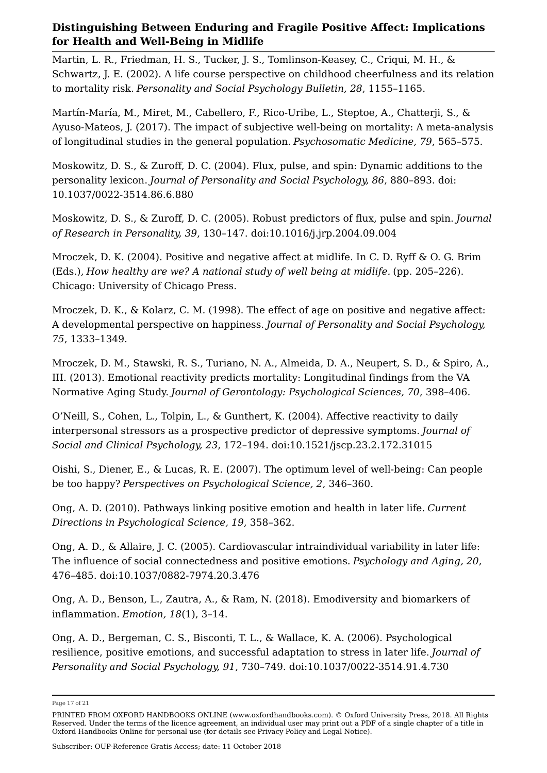Martin, L. R., Friedman, H. S., Tucker, J. S., Tomlinson-Keasey, C., Criqui, M. H., & Schwartz, J. E. (2002). A life course perspective on childhood cheerfulness and its relation to mortality risk. *Personality and Social Psychology Bulletin, 28*, 1155–1165.

Martín-María, M., Miret, M., Cabellero, F., Rico-Uribe, L., Steptoe, A., Chatterji, S., & Ayuso-Mateos, J. (2017). The impact of subjective well-being on mortality: A meta-analysis of longitudinal studies in the general population. *Psychosomatic Medicine, 79*, 565–575.

Moskowitz, D. S., & Zuroff, D. C. (2004). Flux, pulse, and spin: Dynamic additions to the personality lexicon. *Journal of Personality and Social Psychology, 86*, 880–893. doi: 10.1037/0022-3514.86.6.880

Moskowitz, D. S., & Zuroff, D. C. (2005). Robust predictors of flux, pulse and spin. *Journal of Research in Personality, 39*, 130–147. doi:10.1016/j.jrp.2004.09.004

Mroczek, D. K. (2004). Positive and negative affect at midlife. In C. D. Ryff & O. G. Brim (Eds.), *How healthy are we? A national study of well being at midlife.* (pp. 205–226). Chicago: University of Chicago Press.

Mroczek, D. K., & Kolarz, C. M. (1998). The effect of age on positive and negative affect: A developmental perspective on happiness. *Journal of Personality and Social Psychology, 75*, 1333–1349.

Mroczek, D. M., Stawski, R. S., Turiano, N. A., Almeida, D. A., Neupert, S. D., & Spiro, A., III. (2013). Emotional reactivity predicts mortality: Longitudinal findings from the VA Normative Aging Study. *Journal of Gerontology: Psychological Sciences, 70*, 398–406.

O'Neill, S., Cohen, L., Tolpin, L., & Gunthert, K. (2004). Affective reactivity to daily interpersonal stressors as a prospective predictor of depressive symptoms. *Journal of Social and Clinical Psychology, 23*, 172–194. doi:10.1521/jscp.23.2.172.31015

Oishi, S., Diener, E., & Lucas, R. E. (2007). The optimum level of well-being: Can people be too happy? *Perspectives on Psychological Science, 2*, 346–360.

Ong, A. D. (2010). Pathways linking positive emotion and health in later life. *Current Directions in Psychological Science, 19*, 358–362.

Ong, A. D., & Allaire, J. C. (2005). Cardiovascular intraindividual variability in later life: The influence of social connectedness and positive emotions. *Psychology and Aging, 20*, 476–485. doi:10.1037/0882-7974.20.3.476

Ong, A. D., Benson, L., Zautra, A., & Ram, N. (2018). Emodiversity and biomarkers of inflammation. *Emotion, 18*(1), 3–14.

Ong, A. D., Bergeman, C. S., Bisconti, T. L., & Wallace, K. A. (2006). Psychological resilience, positive emotions, and successful adaptation to stress in later life. *Journal of Personality and Social Psychology, 91*, 730–749. doi:10.1037/0022-3514.91.4.730

Page 17 of 21

PRINTED FROM OXFORD HANDBOOKS ONLINE (www.oxfordhandbooks.com). © Oxford University Press, 2018. All Rights Reserved. Under the terms of the licence agreement, an individual user may print out a PDF of a single chapter of a title in Oxford Handbooks Online for personal use (for details see Privacy Policy and Legal Notice).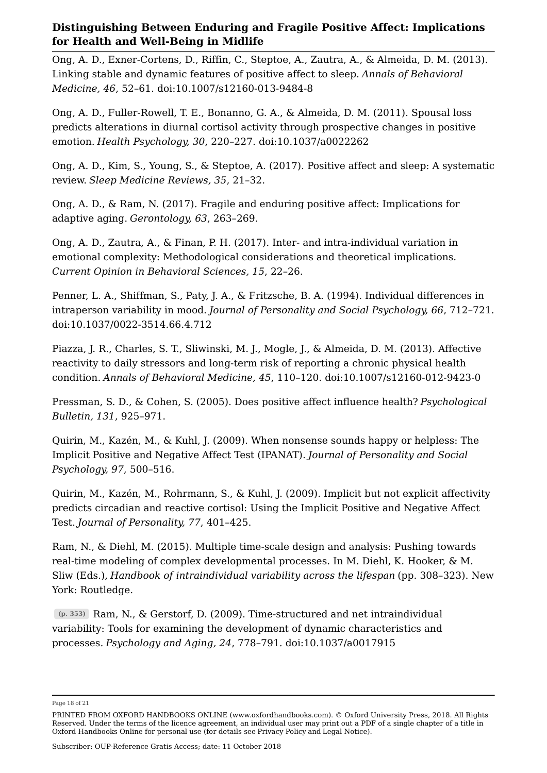Ong, A. D., Exner-Cortens, D., Riffin, C., Steptoe, A., Zautra, A., & Almeida, D. M. (2013). Linking stable and dynamic features of positive affect to sleep. *Annals of Behavioral Medicine, 46*, 52–61. doi:10.1007/s12160-013-9484-8

Ong, A. D., Fuller-Rowell, T. E., Bonanno, G. A., & Almeida, D. M. (2011). Spousal loss predicts alterations in diurnal cortisol activity through prospective changes in positive emotion. *Health Psychology, 30*, 220–227. doi:10.1037/a0022262

Ong, A. D., Kim, S., Young, S., & Steptoe, A. (2017). Positive affect and sleep: A systematic review. *Sleep Medicine Reviews, 35*, 21–32.

Ong, A. D., & Ram, N. (2017). Fragile and enduring positive affect: Implications for adaptive aging. *Gerontology, 63*, 263–269.

Ong, A. D., Zautra, A., & Finan, P. H. (2017). Inter- and intra-individual variation in emotional complexity: Methodological considerations and theoretical implications. *Current Opinion in Behavioral Sciences, 15*, 22–26.

Penner, L. A., Shiffman, S., Paty, J. A., & Fritzsche, B. A. (1994). Individual differences in intraperson variability in mood. *Journal of Personality and Social Psychology, 66*, 712–721. doi:10.1037/0022-3514.66.4.712

Piazza, J. R., Charles, S. T., Sliwinski, M. J., Mogle, J., & Almeida, D. M. (2013). Affective reactivity to daily stressors and long-term risk of reporting a chronic physical health condition. *Annals of Behavioral Medicine, 45*, 110–120. doi:10.1007/s12160-012-9423-0

Pressman, S. D., & Cohen, S. (2005). Does positive affect influence health? *Psychological Bulletin, 131*, 925–971.

Quirin, M., Kazén, M., & Kuhl, J. (2009). When nonsense sounds happy or helpless: The Implicit Positive and Negative Affect Test (IPANAT). *Journal of Personality and Social Psychology, 97*, 500–516.

Quirin, M., Kazén, M., Rohrmann, S., & Kuhl, J. (2009). Implicit but not explicit affectivity predicts circadian and reactive cortisol: Using the Implicit Positive and Negative Affect Test. *Journal of Personality, 77*, 401–425.

Ram, N., & Diehl, M. (2015). Multiple time-scale design and analysis: Pushing towards real-time modeling of complex developmental processes. In M. Diehl, K. Hooker, & M. Sliw (Eds.), *Handbook of intraindividual variability across the lifespan* (pp. 308–323). New York: Routledge.

Ram, N., & Gerstorf, D. (2009). Time-structured and net intraindividual **(p. 353)** variability: Tools for examining the development of dynamic characteristics and processes. *Psychology and Aging, 24*, 778–791. doi:10.1037/a0017915

Page 18 of 21

PRINTED FROM OXFORD HANDBOOKS ONLINE (www.oxfordhandbooks.com). © Oxford University Press, 2018. All Rights Reserved. Under the terms of the licence agreement, an individual user may print out a PDF of a single chapter of a title in Oxford Handbooks Online for personal use (for details see Privacy Policy and Legal Notice).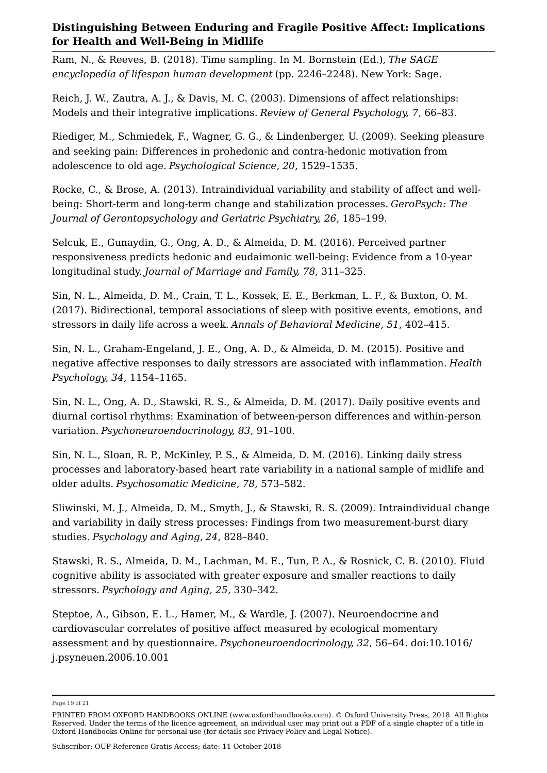Ram, N., & Reeves, B. (2018). Time sampling. In M. Bornstein (Ed.), *The SAGE encyclopedia of lifespan human development* (pp. 2246–2248). New York: Sage.

Reich, J. W., Zautra, A. J., & Davis, M. C. (2003). Dimensions of affect relationships: Models and their integrative implications. *Review of General Psychology, 7*, 66–83.

Riediger, M., Schmiedek, F., Wagner, G. G., & Lindenberger, U. (2009). Seeking pleasure and seeking pain: Differences in prohedonic and contra-hedonic motivation from adolescence to old age. *Psychological Science, 20*, 1529–1535.

Rocke, C., & Brose, A. (2013). Intraindividual variability and stability of affect and wellbeing: Short-term and long-term change and stabilization processes. *GeroPsych: The Journal of Gerontopsychology and Geriatric Psychiatry, 26*, 185–199.

Selcuk, E., Gunaydin, G., Ong, A. D., & Almeida, D. M. (2016). Perceived partner responsiveness predicts hedonic and eudaimonic well-being: Evidence from a 10-year longitudinal study. *Journal of Marriage and Family, 78*, 311–325.

Sin, N. L., Almeida, D. M., Crain, T. L., Kossek, E. E., Berkman, L. F., & Buxton, O. M. (2017). Bidirectional, temporal associations of sleep with positive events, emotions, and stressors in daily life across a week. *Annals of Behavioral Medicine, 51*, 402–415.

Sin, N. L., Graham-Engeland, J. E., Ong, A. D., & Almeida, D. M. (2015). Positive and negative affective responses to daily stressors are associated with inflammation. *Health Psychology, 34*, 1154–1165.

Sin, N. L., Ong, A. D., Stawski, R. S., & Almeida, D. M. (2017). Daily positive events and diurnal cortisol rhythms: Examination of between-person differences and within-person variation. *Psychoneuroendocrinology, 83*, 91–100.

Sin, N. L., Sloan, R. P., McKinley, P. S., & Almeida, D. M. (2016). Linking daily stress processes and laboratory-based heart rate variability in a national sample of midlife and older adults. *Psychosomatic Medicine, 78*, 573–582.

Sliwinski, M. J., Almeida, D. M., Smyth, J., & Stawski, R. S. (2009). Intraindividual change and variability in daily stress processes: Findings from two measurement-burst diary studies. *Psychology and Aging*, *24*, 828–840.

Stawski, R. S., Almeida, D. M., Lachman, M. E., Tun, P. A., & Rosnick, C. B. (2010). Fluid cognitive ability is associated with greater exposure and smaller reactions to daily stressors. *Psychology and Aging, 25*, 330–342.

Steptoe, A., Gibson, E. L., Hamer, M., & Wardle, J. (2007). Neuroendocrine and cardiovascular correlates of positive affect measured by ecological momentary assessment and by questionnaire. *Psychoneuroendocrinology, 32*, 56–64. doi:10.1016/ j.psyneuen.2006.10.001

Page 19 of 21

PRINTED FROM OXFORD HANDBOOKS ONLINE (www.oxfordhandbooks.com). © Oxford University Press, 2018. All Rights Reserved. Under the terms of the licence agreement, an individual user may print out a PDF of a single chapter of a title in Oxford Handbooks Online for personal use (for details see Privacy Policy and Legal Notice).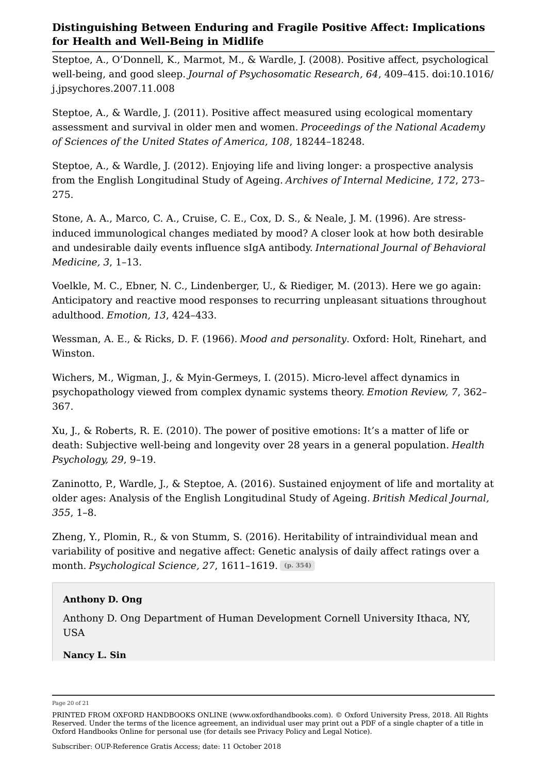Steptoe, A., O'Donnell, K., Marmot, M., & Wardle, J. (2008). Positive affect, psychological well-being, and good sleep. *Journal of Psychosomatic Research, 64*, 409–415. doi:10.1016/ j.jpsychores.2007.11.008

Steptoe, A., & Wardle, J. (2011). Positive affect measured using ecological momentary assessment and survival in older men and women. *Proceedings of the National Academy of Sciences of the United States of America, 108*, 18244–18248.

Steptoe, A., & Wardle, J. (2012). Enjoying life and living longer: a prospective analysis from the English Longitudinal Study of Ageing. *Archives of Internal Medicine, 172*, 273– 275.

Stone, A. A., Marco, C. A., Cruise, C. E., Cox, D. S., & Neale, J. M. (1996). Are stressinduced immunological changes mediated by mood? A closer look at how both desirable and undesirable daily events influence sIgA antibody. *International Journal of Behavioral Medicine, 3*, 1–13.

Voelkle, M. C., Ebner, N. C., Lindenberger, U., & Riediger, M. (2013). Here we go again: Anticipatory and reactive mood responses to recurring unpleasant situations throughout adulthood. *Emotion, 13*, 424–433.

Wessman, A. E., & Ricks, D. F. (1966). *Mood and personality*. Oxford: Holt, Rinehart, and Winston.

Wichers, M., Wigman, J., & Myin-Germeys, I. (2015). Micro-level affect dynamics in psychopathology viewed from complex dynamic systems theory. *Emotion Review, 7*, 362– 367.

Xu, J., & Roberts, R. E. (2010). The power of positive emotions: It's a matter of life or death: Subjective well-being and longevity over 28 years in a general population. *Health Psychology, 29*, 9–19.

Zaninotto, P., Wardle, J., & Steptoe, A. (2016). Sustained enjoyment of life and mortality at older ages: Analysis of the English Longitudinal Study of Ageing. *British Medical Journal, 355*, 1–8.

Zheng, Y., Plomin, R., & von Stumm, S. (2016). Heritability of intraindividual mean and variability of positive and negative affect: Genetic analysis of daily affect ratings over a month. *Psychological Science, 27*, 1611–1619. **(p. 354)**

#### **Anthony D. Ong**

Anthony D. Ong Department of Human Development Cornell University Ithaca, NY, USA

**Nancy L. Sin**

Page 20 of 21

PRINTED FROM OXFORD HANDBOOKS ONLINE (www.oxfordhandbooks.com). © Oxford University Press, 2018. All Rights Reserved. Under the terms of the licence agreement, an individual user may print out a PDF of a single chapter of a title in Oxford Handbooks Online for personal use (for details see Privacy Policy and Legal Notice).